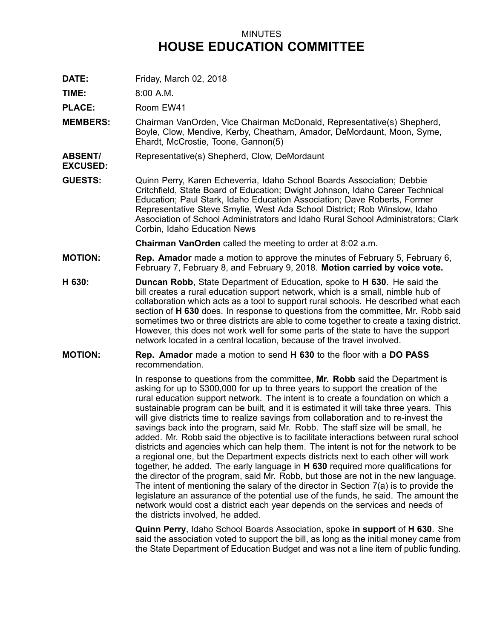## MINUTES **HOUSE EDUCATION COMMITTEE**

**DATE:** Friday, March 02, 2018

**TIME:** 8:00 A.M.

**EXCUSED:**

**PLACE:** Room EW41

**MEMBERS:** Chairman VanOrden, Vice Chairman McDonald, Representative(s) Shepherd, Boyle, Clow, Mendive, Kerby, Cheatham, Amador, DeMordaunt, Moon, Syme, Ehardt, McCrostie, Toone, Gannon(5)

**ABSENT/** Representative(s) Shepherd, Clow, DeMordaunt

**GUESTS:** Quinn Perry, Karen Echeverria, Idaho School Boards Association; Debbie Critchfield, State Board of Education; Dwight Johnson, Idaho Career Technical Education; Paul Stark, Idaho Education Association; Dave Roberts, Former Representative Steve Smylie, West Ada School District; Rob Winslow, Idaho Association of School Administrators and Idaho Rural School Administrators; Clark Corbin, Idaho Education News

**Chairman VanOrden** called the meeting to order at 8:02 a.m.

- **MOTION: Rep. Amador** made <sup>a</sup> motion to approve the minutes of February 5, February 6, February 7, February 8, and February 9, 2018. **Motion carried by voice vote.**
- **H 630: Duncan Robb**, State Department of Education, spoke to **H 630**. He said the bill creates <sup>a</sup> rural education support network, which is <sup>a</sup> small, nimble hub of collaboration which acts as <sup>a</sup> tool to support rural schools. He described what each section of **H 630** does. In response to questions from the committee, Mr. Robb said sometimes two or three districts are able to come together to create <sup>a</sup> taxing district. However, this does not work well for some parts of the state to have the support network located in <sup>a</sup> central location, because of the travel involved.
- **MOTION: Rep. Amador** made <sup>a</sup> motion to send **H 630** to the floor with <sup>a</sup> **DO PASS** recommendation.

In response to questions from the committee, **Mr. Robb** said the Department is asking for up to \$300,000 for up to three years to support the creation of the rural education support network. The intent is to create <sup>a</sup> foundation on which <sup>a</sup> sustainable program can be built, and it is estimated it will take three years. This will give districts time to realize savings from collaboration and to re-invest the savings back into the program, said Mr. Robb. The staff size will be small, he added. Mr. Robb said the objective is to facilitate interactions between rural school districts and agencies which can help them. The intent is not for the network to be <sup>a</sup> regional one, but the Department expects districts next to each other will work together, he added. The early language in **H 630** required more qualifications for the director of the program, said Mr. Robb, but those are not in the new language. The intent of mentioning the salary of the director in Section 7(a) is to provide the legislature an assurance of the potential use of the funds, he said. The amount the network would cost <sup>a</sup> district each year depends on the services and needs of the districts involved, he added.

**Quinn Perry**, Idaho School Boards Association, spoke **in support** of **H 630**. She said the association voted to support the bill, as long as the initial money came from the State Department of Education Budget and was not <sup>a</sup> line item of public funding.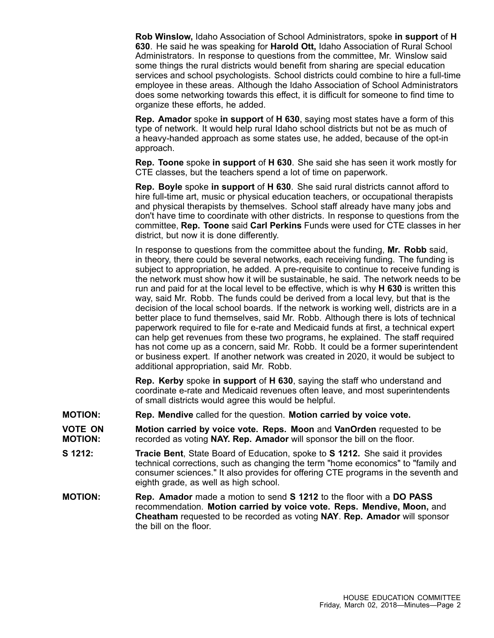**Rob Winslow,** Idaho Association of School Administrators, spoke **in support** of **H 630**. He said he was speaking for **Harold Ott,** Idaho Association of Rural School Administrators. In response to questions from the committee, Mr. Winslow said some things the rural districts would benefit from sharing are special education services and school psychologists. School districts could combine to hire <sup>a</sup> full-time employee in these areas. Although the Idaho Association of School Administrators does some networking towards this effect, it is difficult for someone to find time to organize these efforts, he added.

**Rep. Amador** spoke **in support** of **H 630**, saying most states have <sup>a</sup> form of this type of network. It would help rural Idaho school districts but not be as much of <sup>a</sup> heavy-handed approach as some states use, he added, because of the opt-in approach.

**Rep. Toone** spoke **in support** of **H 630**. She said she has seen it work mostly for CTE classes, but the teachers spend <sup>a</sup> lot of time on paperwork.

**Rep. Boyle** spoke **in support** of **H 630**. She said rural districts cannot afford to hire full-time art, music or physical education teachers, or occupational therapists and physical therapists by themselves. School staff already have many jobs and don't have time to coordinate with other districts. In response to questions from the committee, **Rep. Toone** said **Carl Perkins** Funds were used for CTE classes in her district, but now it is done differently.

In response to questions from the committee about the funding, **Mr. Robb** said, in theory, there could be several networks, each receiving funding. The funding is subject to appropriation, he added. A pre-requisite to continue to receive funding is the network must show how it will be sustainable, he said. The network needs to be run and paid for at the local level to be effective, which is why **H 630** is written this way, said Mr. Robb. The funds could be derived from <sup>a</sup> local levy, but that is the decision of the local school boards. If the network is working well, districts are in <sup>a</sup> better place to fund themselves, said Mr. Robb. Although there is lots of technical paperwork required to file for e-rate and Medicaid funds at first, <sup>a</sup> technical expert can help get revenues from these two programs, he explained. The staff required has not come up as <sup>a</sup> concern, said Mr. Robb. It could be <sup>a</sup> former superintendent or business expert. If another network was created in 2020, it would be subject to additional appropriation, said Mr. Robb.

**Rep. Kerby** spoke **in support** of **H 630**, saying the staff who understand and coordinate e-rate and Medicaid revenues often leave, and most superintendents of small districts would agree this would be helpful.

- **MOTION: Rep. Mendive** called for the question. **Motion carried by voice vote.**
- **VOTE ON MOTION: Motion carried by voice vote. Reps. Moon** and **VanOrden** requested to be recorded as voting **NAY. Rep. Amador** will sponsor the bill on the floor.
- **S 1212: Tracie Bent**, State Board of Education, spoke to **S 1212.** She said it provides technical corrections, such as changing the term "home economics" to "family and consumer sciences." It also provides for offering CTE programs in the seventh and eighth grade, as well as high school.
- **MOTION: Rep. Amador** made <sup>a</sup> motion to send **S 1212** to the floor with <sup>a</sup> **DO PASS** recommendation. **Motion carried by voice vote. Reps. Mendive, Moon,** and **Cheatham** requested to be recorded as voting **NAY**. **Rep. Amador** will sponsor the bill on the floor.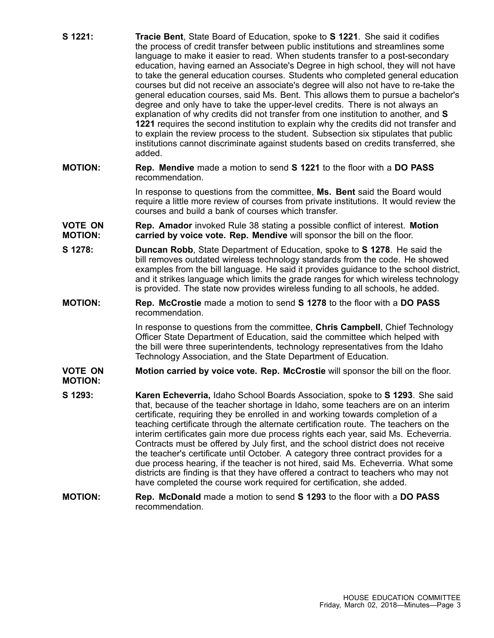| S 1221:                          | Tracie Bent, State Board of Education, spoke to S 1221. She said it codifies<br>the process of credit transfer between public institutions and streamlines some<br>language to make it easier to read. When students transfer to a post-secondary<br>education, having earned an Associate's Degree in high school, they will not have<br>to take the general education courses. Students who completed general education<br>courses but did not receive an associate's degree will also not have to re-take the<br>general education courses, said Ms. Bent. This allows them to pursue a bachelor's<br>degree and only have to take the upper-level credits. There is not always an<br>explanation of why credits did not transfer from one institution to another, and S<br>1221 requires the second institution to explain why the credits did not transfer and<br>to explain the review process to the student. Subsection six stipulates that public<br>institutions cannot discriminate against students based on credits transferred, she<br>added. |
|----------------------------------|-------------------------------------------------------------------------------------------------------------------------------------------------------------------------------------------------------------------------------------------------------------------------------------------------------------------------------------------------------------------------------------------------------------------------------------------------------------------------------------------------------------------------------------------------------------------------------------------------------------------------------------------------------------------------------------------------------------------------------------------------------------------------------------------------------------------------------------------------------------------------------------------------------------------------------------------------------------------------------------------------------------------------------------------------------------|
| <b>MOTION:</b>                   | <b>Rep. Mendive</b> made a motion to send <b>S</b> 1221 to the floor with a DO PASS<br>recommendation.                                                                                                                                                                                                                                                                                                                                                                                                                                                                                                                                                                                                                                                                                                                                                                                                                                                                                                                                                      |
|                                  | In response to questions from the committee, Ms. Bent said the Board would<br>require a little more review of courses from private institutions. It would review the<br>courses and build a bank of courses which transfer.                                                                                                                                                                                                                                                                                                                                                                                                                                                                                                                                                                                                                                                                                                                                                                                                                                 |
| <b>VOTE ON</b><br><b>MOTION:</b> | Rep. Amador invoked Rule 38 stating a possible conflict of interest. Motion<br>carried by voice vote. Rep. Mendive will sponsor the bill on the floor.                                                                                                                                                                                                                                                                                                                                                                                                                                                                                                                                                                                                                                                                                                                                                                                                                                                                                                      |
| S 1278:                          | <b>Duncan Robb</b> , State Department of Education, spoke to <b>S 1278</b> . He said the<br>bill removes outdated wireless technology standards from the code. He showed<br>examples from the bill language. He said it provides guidance to the school district,<br>and it strikes language which limits the grade ranges for which wireless technology<br>is provided. The state now provides wireless funding to all schools, he added.                                                                                                                                                                                                                                                                                                                                                                                                                                                                                                                                                                                                                  |
| <b>MOTION:</b>                   | Rep. McCrostie made a motion to send S 1278 to the floor with a DO PASS<br>recommendation.                                                                                                                                                                                                                                                                                                                                                                                                                                                                                                                                                                                                                                                                                                                                                                                                                                                                                                                                                                  |
|                                  | In response to questions from the committee, Chris Campbell, Chief Technology<br>Officer State Department of Education, said the committee which helped with<br>the bill were three superintendents, technology representatives from the Idaho<br>Technology Association, and the State Department of Education.                                                                                                                                                                                                                                                                                                                                                                                                                                                                                                                                                                                                                                                                                                                                            |
| <b>VOTE ON</b><br><b>MOTION:</b> | Motion carried by voice vote. Rep. McCrostie will sponsor the bill on the floor.                                                                                                                                                                                                                                                                                                                                                                                                                                                                                                                                                                                                                                                                                                                                                                                                                                                                                                                                                                            |
| S 1293:                          | Karen Echeverria, Idaho School Boards Association, spoke to S 1293. She said<br>that, because of the teacher shortage in Idaho, some teachers are on an interim<br>certificate, requiring they be enrolled in and working towards completion of a<br>teaching certificate through the alternate certification route. The teachers on the<br>interim certificates gain more due process rights each year, said Ms. Echeverria.<br>Contracts must be offered by July first, and the school district does not receive<br>the teacher's certificate until October. A category three contract provides for a<br>due process hearing, if the teacher is not hired, said Ms. Echeverria. What some<br>districts are finding is that they have offered a contract to teachers who may not<br>have completed the course work required for certification, she added.                                                                                                                                                                                                  |
| <b>MOTION:</b>                   | <b>Rep. McDonald</b> made a motion to send <b>S</b> 1293 to the floor with a DO PASS<br>recommendation.                                                                                                                                                                                                                                                                                                                                                                                                                                                                                                                                                                                                                                                                                                                                                                                                                                                                                                                                                     |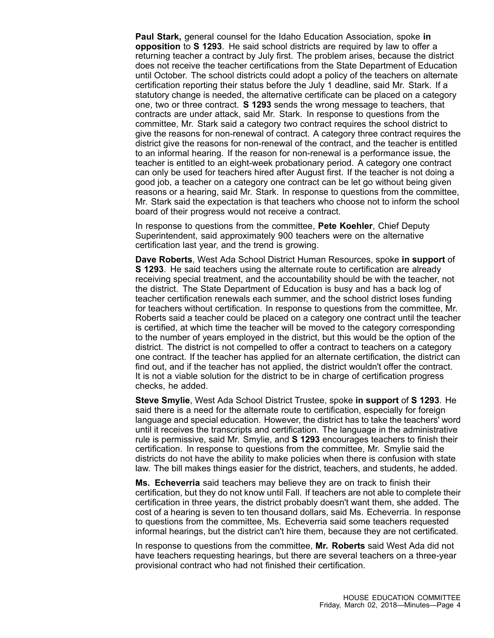**Paul Stark,** general counsel for the Idaho Education Association, spoke **in opposition** to **S 1293**. He said school districts are required by law to offer <sup>a</sup> returning teacher <sup>a</sup> contract by July first. The problem arises, because the district does not receive the teacher certifications from the State Department of Education until October. The school districts could adopt <sup>a</sup> policy of the teachers on alternate certification reporting their status before the July 1 deadline, said Mr. Stark. If <sup>a</sup> statutory change is needed, the alternative certificate can be placed on <sup>a</sup> category one, two or three contract. **S 1293** sends the wrong message to teachers, that contracts are under attack, said Mr. Stark. In response to questions from the committee, Mr. Stark said <sup>a</sup> category two contract requires the school district to give the reasons for non-renewal of contract. A category three contract requires the district give the reasons for non-renewal of the contract, and the teacher is entitled to an informal hearing. If the reason for non-renewal is <sup>a</sup> performance issue, the teacher is entitled to an eight-week probationary period. A category one contract can only be used for teachers hired after August first. If the teacher is not doing <sup>a</sup> good job, <sup>a</sup> teacher on <sup>a</sup> category one contract can be let go without being given reasons or <sup>a</sup> hearing, said Mr. Stark. In response to questions from the committee, Mr. Stark said the expectation is that teachers who choose not to inform the school board of their progress would not receive <sup>a</sup> contract.

In response to questions from the committee, **Pete Koehler**, Chief Deputy Superintendent, said approximately 900 teachers were on the alternative certification last year, and the trend is growing.

**Dave Roberts**, West Ada School District Human Resources, spoke **in support** of **S 1293**. He said teachers using the alternate route to certification are already receiving special treatment, and the accountability should be with the teacher, not the district. The State Department of Education is busy and has <sup>a</sup> back log of teacher certification renewals each summer, and the school district loses funding for teachers without certification. In response to questions from the committee, Mr. Roberts said <sup>a</sup> teacher could be placed on <sup>a</sup> category one contract until the teacher is certified, at which time the teacher will be moved to the category corresponding to the number of years employed in the district, but this would be the option of the district. The district is not compelled to offer <sup>a</sup> contract to teachers on <sup>a</sup> category one contract. If the teacher has applied for an alternate certification, the district can find out, and if the teacher has not applied, the district wouldn't offer the contract. It is not <sup>a</sup> viable solution for the district to be in charge of certification progress checks, he added.

**Steve Smylie**, West Ada School District Trustee, spoke **in support** of **S 1293**. He said there is <sup>a</sup> need for the alternate route to certification, especially for foreign language and special education. However, the district has to take the teachers' word until it receives the transcripts and certification. The language in the administrative rule is permissive, said Mr. Smylie, and **S 1293** encourages teachers to finish their certification. In response to questions from the committee, Mr. Smylie said the districts do not have the ability to make policies when there is confusion with state law. The bill makes things easier for the district, teachers, and students, he added.

**Ms. Echeverria** said teachers may believe they are on track to finish their certification, but they do not know until Fall. If teachers are not able to complete their certification in three years, the district probably doesn't want them, she added. The cost of <sup>a</sup> hearing is seven to ten thousand dollars, said Ms. Echeverria. In response to questions from the committee, Ms. Echeverria said some teachers requested informal hearings, but the district can't hire them, because they are not certificated.

In response to questions from the committee, **Mr. Roberts** said West Ada did not have teachers requesting hearings, but there are several teachers on <sup>a</sup> three-year provisional contract who had not finished their certification.